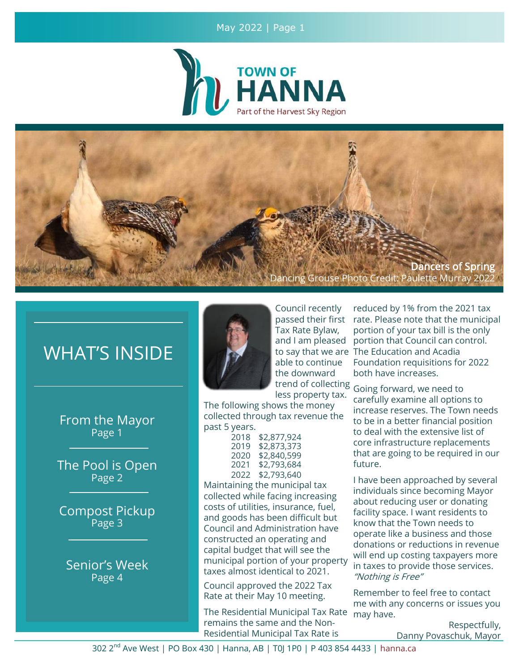#### May 2022 | Page 1





# WHAT'S INSIDE

From the Mayor Page 1

The Pool is Open Page 2

Compost Pickup Page 3

Senior's Week Page 4



Council recently Tax Rate Bylaw, and I am pleased able to continue the downward less property tax.

The following shows the money collected through tax revenue the past 5 years.

| 2018 | \$2,877,924 |
|------|-------------|
| 2019 | \$2,873,373 |
| 2020 | \$2,840,599 |
| 2021 | \$2,793,684 |
| 2022 | \$2,793,640 |

Maintaining the municipal tax collected while facing increasing costs of utilities, insurance, fuel, and goods has been difficult but Council and Administration have constructed an operating and capital budget that will see the municipal portion of your property taxes almost identical to 2021.

Council approved the 2022 Tax Rate at their May 10 meeting.

The Residential Municipal Tax Rate remains the same and the Non-Residential Municipal Tax Rate is

passed their first rate. Please note that the municipal to say that we are The Education and Acadia reduced by 1% from the 2021 tax portion of your tax bill is the only portion that Council can control. Foundation requisitions for 2022 both have increases.

trend of collecting Going forward, we need to carefully examine all options to increase reserves. The Town needs to be in a better financial position to deal with the extensive list of core infrastructure replacements that are going to be required in our future.

> I have been approached by several individuals since becoming Mayor about reducing user or donating facility space. I want residents to know that the Town needs to operate like a business and those donations or reductions in revenue will end up costing taxpayers more in taxes to provide those services. "Nothing is Free"

> Remember to feel free to contact me with any concerns or issues you may have.

> > Respectfully, Danny Povaschuk, Mayor

302 2<sup>nd</sup> Ave West | PO Box 430 | Hanna, AB | T0| 1P0 | P 403 854 4433 | hanna.ca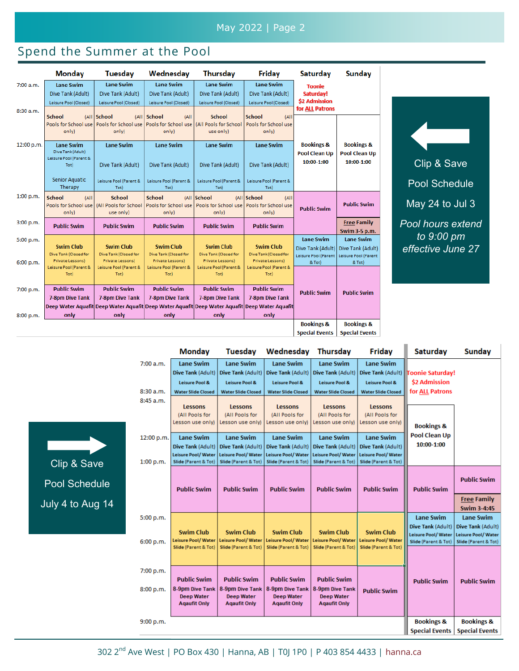### May 2022 | Page 2

# Spend the Summer at the Pool

|            | <b>Monday</b>                                                                                          | Tuesdav                                                                        | Wednesday                                                                   | <b>Thursdav</b>                                                             | Friday                                                                      | <b>Saturday</b>                                             | Sunday                                                      |
|------------|--------------------------------------------------------------------------------------------------------|--------------------------------------------------------------------------------|-----------------------------------------------------------------------------|-----------------------------------------------------------------------------|-----------------------------------------------------------------------------|-------------------------------------------------------------|-------------------------------------------------------------|
| 7:00 a.m.  | <b>Lane Swim</b><br>Dive Tank (Adult)                                                                  | <b>Lane Swim</b><br>Dive Tank (Adult)                                          | <b>Lane Swim</b><br>Dive Tank (Adult)                                       | <b>Lane Swim</b><br>Dive Tank (Adult)                                       | <b>Lane Swim</b><br>Dive Tank (Adult)                                       | <b>Toonie</b><br>Saturday!                                  |                                                             |
| 8:30a.m.   | Leisure Pool (Closed)                                                                                  | Leisure Pool (Closed)                                                          | Leisure Pool (Closed)                                                       | Leisure Pool (Closed)                                                       | Leisure Pool (Closed)                                                       | \$2 Admission<br>for ALL Patrons                            |                                                             |
|            | <b>School</b><br>only)                                                                                 | (All School<br>(A  )<br>Pools for School use   Pools for School use  <br>only) | <b>School</b><br>(A  )<br>Pools for School use<br>only)                     | <b>School</b><br>(All Pools for School)<br>use only)                        | <b>School</b><br>(A  <br>Pools for School use<br>only)                      |                                                             |                                                             |
| 12:00 p.m. | <b>Lane Swim</b><br>Dive Tank (Adult)<br>Leisure Pool (Parent &<br>Tot)                                | <b>Lane Swim</b><br>Dive Tank (Adult)                                          | <b>Lane Swim</b><br>Dive Tank (Adult)                                       | <b>Lane Swim</b><br>Dive Tank (Adult)                                       | <b>Lane Swim</b><br>Dive Tank (Adult)                                       | <b>Bookings &amp;</b><br><b>Pool Clean Up</b><br>10:00-1:00 | <b>Bookings &amp;</b><br><b>Pool Clean Up</b><br>10:00-1:00 |
|            | <b>Senior Aquatic</b><br>Therapy                                                                       | Leisure Pool (Parent &<br>Tot)                                                 | Leisure Pool (Parent &<br>Tot)                                              | Leisure Pool (Parent &<br>Tot)                                              | Leisure Pool (Parent &<br>Tot)                                              |                                                             |                                                             |
| 1:00 p.m.  | School<br>(A  <br>Pools for School use<br>only)                                                        | <b>School</b><br>(All Pools for School<br>use only)                            | School<br>Pools for School use<br>only)                                     | (All School<br>Pools for School use<br>only)                                | (All School<br>(AII)<br>Pools for School use<br>only)                       | <b>Public Swim</b>                                          | <b>Public Swim</b>                                          |
| 3:00 p.m.  | <b>Public Swim</b>                                                                                     | <b>Public Swim</b>                                                             | <b>Public Swim</b>                                                          | <b>Public Swim</b>                                                          | <b>Public Swim</b>                                                          |                                                             | <b>Free Family</b><br>Swim 3-5 p.m.                         |
| 5:00 p.m.  | <b>Swim Club</b>                                                                                       | <b>Swim Club</b>                                                               | <b>Swim Club</b>                                                            | <b>Swim Club</b>                                                            | <b>Swim Club</b>                                                            | <b>Lane Swim</b><br>Dive Tank (Adult)                       | <b>Lane Swim</b><br>Dive Tank (Adult)                       |
| 6:00 p.m.  | Dive Tank (Closed for<br>Private Lessons)<br>Leisure Pool (Parent &<br>Tot)                            | Dive Tank (Closed for<br>Private Lessons)<br>Leisure Pool (Parent &<br>Tot)    | Dive Tank (Closed for<br>Private Lessons)<br>Leisure Pool (Parent &<br>Tot) | Dive Tank (Closed for<br>Private Lessons)<br>Leisure Pool (Parent &<br>Tot) | Dive Tank (Closed for<br>Private Lessons)<br>Leisure Pool (Parent &<br>Tot) | Leisure Pool (Parent<br>& Tot)                              | Leisure Pool (Parent<br>& Tot)                              |
| 7:00 p.m.  | <b>Public Swim</b><br>7-8pm Dive Tank                                                                  | <b>Public Swim</b><br><b>7-8pm Dive Tank</b>                                   | <b>Public Swim</b><br>7-8pm Dive Tank                                       | <b>Public Swim</b><br>7-8pm Dive Tank                                       | <b>Public Swim</b><br>7-8pm Dive Tank                                       | <b>Public Swim</b>                                          | <b>Public Swim</b>                                          |
| 8:00 p.m.  | Deep Water Aguafit Deep Water Aguafit Deep Water Aguafit Deep Water Aguafit Deep Water Aguafit<br>only | only                                                                           | only                                                                        | only                                                                        | only                                                                        |                                                             |                                                             |
|            |                                                                                                        |                                                                                |                                                                             |                                                                             |                                                                             | <b>Bookings &amp;</b><br><b>Special Events</b>              | <b>Bookings &amp;</b><br><b>Special Events</b>              |



|   |                         | <b>Monday</b>                                                                              | Tuesdav                                                                                    | Wednesdav                                                                                  | <b>Thursdav</b>                                                                     | <b>Fridav</b>                                                                       | <b>Saturday</b>                                                                     | <b>Sunday</b>                                                                       |
|---|-------------------------|--------------------------------------------------------------------------------------------|--------------------------------------------------------------------------------------------|--------------------------------------------------------------------------------------------|-------------------------------------------------------------------------------------|-------------------------------------------------------------------------------------|-------------------------------------------------------------------------------------|-------------------------------------------------------------------------------------|
|   | 7:00 a.m.               | <b>Lane Swim</b><br><b>Dive Tank (Adult)</b>                                               | <b>Lane Swim</b><br>Dive Tank (Adult)                                                      | <b>Lane Swim</b><br>Dive Tank (Adult)                                                      | <b>Lane Swim</b><br>Dive Tank (Adult)                                               | <b>Lane Swim</b><br>Dive Tank (Adult)                                               | <b>Foonie Saturday!</b>                                                             |                                                                                     |
|   | 8:30 a.m.               | <b>Leisure Pool &amp;</b><br><b>Water Slide Closed</b>                                     | <b>Leisure Pool &amp;</b><br><b>Water Slide Closed</b>                                     | <b>Leisure Pool &amp;</b><br><b>Water Slide Closed</b>                                     | <b>Leisure Pool &amp;</b><br><b>Water Slide Closed</b>                              | <b>Leisure Pool &amp;</b><br><b>Water Slide Closed</b>                              | <b>\$2 Admission</b><br>for ALL Patrons                                             |                                                                                     |
|   | 8:45 a.m.               | <b>Lessons</b><br>(All Pools for<br>Lesson use only)                                       | <b>Lessons</b><br>(All Pools for<br>Lesson use only)                                       | <b>Lessons</b><br>(All Pools for<br>Lesson use only)                                       | <b>Lessons</b><br>(All Pools for<br>Lesson use only)                                | <b>Lessons</b><br>(All Pools for<br>Lesson use only)                                | <b>Bookings &amp;</b>                                                               |                                                                                     |
|   | 12:00 p.m.<br>1:00 p.m. | <b>Lane Swim</b><br>Dive Tank (Adult)<br><b>Leisure Pool/Water</b><br>Slide (Parent & Tot) | <b>Lane Swim</b><br>Dive Tank (Adult)<br><b>Leisure Pool/Water</b><br>Slide (Parent & Tot) | <b>Lane Swim</b><br>Dive Tank (Adult)<br><b>Leisure Pool/Water</b><br>Slide (Parent & Tot) | <b>Lane Swim</b><br>Dive Tank (Adult)<br>Leisure Pool/Water<br>Slide (Parent & Tot) | <b>Lane Swim</b><br>Dive Tank (Adult)<br>Leisure Pool/Water<br>Slide (Parent & Tot) | <b>Pool Clean Up</b><br>10:00-1:00                                                  |                                                                                     |
|   |                         | <b>Public Swim</b>                                                                         | <b>Public Swim</b>                                                                         | <b>Public Swim</b>                                                                         | <b>Public Swim</b>                                                                  | <b>Public Swim</b>                                                                  | <b>Public Swim</b>                                                                  | <b>Public Swim</b><br><b>Free Family</b>                                            |
| 4 |                         |                                                                                            |                                                                                            |                                                                                            |                                                                                     |                                                                                     |                                                                                     | <b>Swim 3-4:45</b>                                                                  |
|   | 5:00 p.m.<br>6:00 p.m.  | <b>Swim Club</b><br><b>Leisure Pool/Water</b>                                              | <b>Swim Club</b><br><b>Leisure Pool/Water</b>                                              | <b>Swim Club</b><br>Leisure Pool/Water                                                     | <b>Swim Club</b><br>Leisure Pool/Water                                              | <b>Swim Club</b><br>Leisure Pool/Water                                              | <b>Lane Swim</b><br>Dive Tank (Adult)<br>Leisure Pool/Water<br>Slide (Parent & Tot) | <b>Lane Swim</b><br>Dive Tank (Adult)<br>Leisure Pool/Water<br>Slide (Parent & Tot) |
|   |                         | Slide (Parent & Tot)                                                                       | Slide (Parent & Tot)                                                                       | Slide (Parent & Tot)                                                                       | Slide (Parent & Tot)                                                                | Slide (Parent & Tot)                                                                |                                                                                     |                                                                                     |
|   | 7:00 p.m.<br>8:00 p.m.  | <b>Public Swim</b><br>8-9pm Dive Tank<br><b>Deep Water</b><br><b>Agaufit Only</b>          | <b>Public Swim</b><br>8-9pm Dive Tank<br><b>Deep Water</b><br><b>Agaufit Only</b>          | <b>Public Swim</b><br>8-9pm Dive Tank<br><b>Deep Water</b><br><b>Agaufit Only</b>          | <b>Public Swim</b><br>8-9pm Dive Tank<br><b>Deep Water</b><br><b>Agaufit Only</b>   | <b>Public Swim</b>                                                                  | <b>Public Swim</b>                                                                  | <b>Public Swim</b>                                                                  |
|   | 9:00 p.m.               |                                                                                            |                                                                                            |                                                                                            |                                                                                     |                                                                                     | <b>Bookings &amp;</b><br><b>Special Events</b>                                      | <b>Bookings &amp;</b><br><b>Special Events</b>                                      |

Clip & Save Pool Schedule July 4 to Aug 1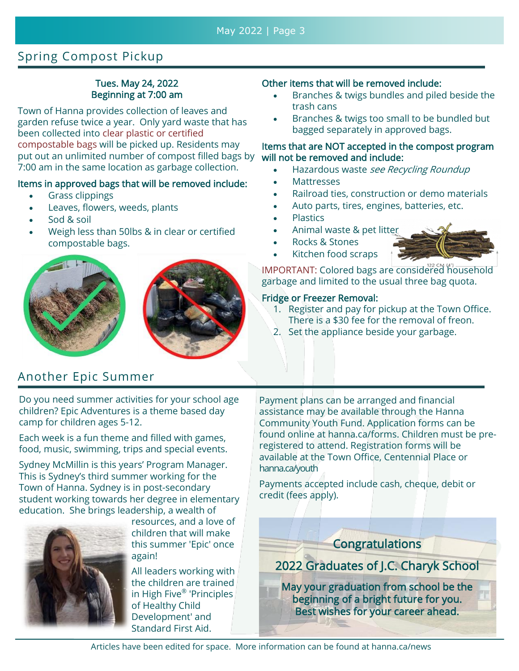# Spring Compost Pickup

#### Tues. May 24, 2022 Beginning at 7:00 am

Town of Hanna provides collection of leaves and garden refuse twice a year. Only yard waste that has been collected into clear plastic or certified compostable bags will be picked up. Residents may put out an unlimited number of compost filled bags by 7:00 am in the same location as garbage collection.

#### Items in approved bags that will be removed include:

- Grass clippings
- Leaves, flowers, weeds, plants
- Sod & soil
- Weigh less than 50lbs & in clear or certified compostable bags.





# Another Epic Summer

Do you need summer activities for your school age children? Epic Adventures is a theme based day camp for children ages 5-12.

Each week is a fun theme and filled with games, food, music, swimming, trips and special events.

Sydney McMillin is this years' Program Manager. This is Sydney's third summer working for the Town of Hanna. Sydney is in post-secondary student working towards her degree in elementary education. She brings leadership, a wealth of



resources, and a love of children that will make this summer 'Epic' once again!

All leaders working with the children are trained in High Five® 'Principles of Healthy Child Development' and Standard First Aid.

#### Other items that will be removed include:

- Branches & twigs bundles and piled beside the trash cans
- Branches & twigs too small to be bundled but bagged separately in approved bags.

#### Items that are NOT accepted in the compost program will not be removed and include:

- Hazardous waste see Recycling Roundup
- Mattresses
- Railroad ties, construction or demo materials
- Auto parts, tires, engines, batteries, etc.
- **Plastics**
- Animal waste & pet litter
- Rocks & Stones
- Kitchen food scraps

IMPORTANT: Colored bags are considered household garbage and limited to the usual three bag quota.

#### Fridge or Freezer Removal:

- 1. Register and pay for pickup at the Town Office. There is a \$30 fee for the removal of freon.
- 2. Set the appliance beside your garbage.

Payment plans can be arranged and financial assistance may be available through the Hanna Community Youth Fund. Application forms can be found online at hanna.ca/forms. Children must be preregistered to attend. Registration forms will be available at the Town Office, Centennial Place or hanna.ca/youth

Payments accepted include cash, cheque, debit or credit (fees apply).

**Congratulations** 

2022 Graduates of J.C. Charyk School

May your graduation from school be the beginning of a bright future for you. Best wishes for your career ahead.

Articles have been edited for space. More information can be found at hanna.ca/news